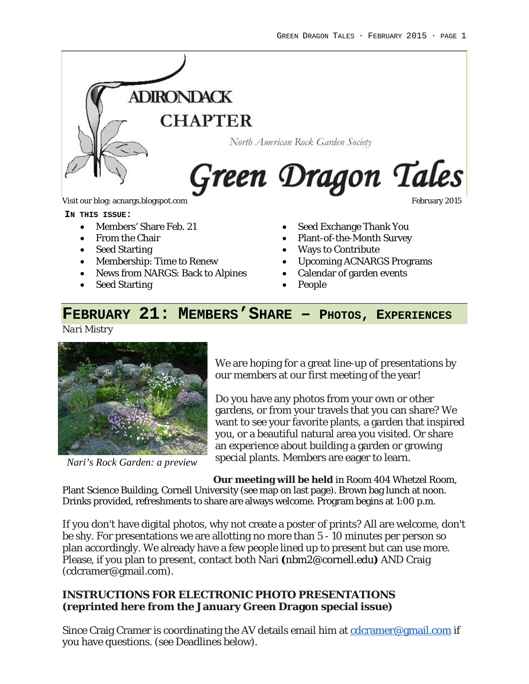

**IN THIS ISSUE:**

- Members' Share Feb. 21
- From the Chair
- Seed Starting
- Membership: Time to Renew
- News from NARGS: Back to Alpines
- Seed Starting
- Seed Exchange Thank You
- Plant-of-the-Month Survey
- Ways to Contribute
- Upcoming ACNARGS Programs
- Calendar of garden events
- People

# **FEBRUARY 21: MEMBERS'SHARE – PHOTOS, EXPERIENCES**

*Nari Mistry*



*Nari's Rock Garden: a preview*

We are hoping for a great line-up of presentations by our members at our first meeting of the year!

Do you have any photos from your own or other gardens, or from your travels that you can share? We want to see your favorite plants, a garden that inspired you, or a beautiful natural area you visited. Or share an experience about building a garden or growing special plants. Members are eager to learn.

**Our meeting will be held** in Room 404 Whetzel Room, Plant Science Building, Cornell University (see map on last page). Brown bag lunch at noon. Drinks provided, refreshments to share are always welcome. Program begins at 1:00 p.m.

If you don't have digital photos, why not create a poster of prints? All are welcome, don't be shy. For presentations we are allotting no more than 5 - 10 minutes per person so plan accordingly. We already have a few people lined up to present but can use more. Please, if you plan to present, contact both Nari **(**[nbm2@cornell.edu](mailto:nbm2@cornell.edu)**)** AND Craig (cdcramer@gmail.com).

#### **INSTRUCTIONS FOR ELECTRONIC PHOTO PRESENTATIONS (reprinted here from the January Green Dragon special issue)**

Since Craig Cramer is coordinating the AV details email him at  $\frac{\text{cdcramer}@gmail.com}{\text{if}}$ you have questions. (see Deadlines below).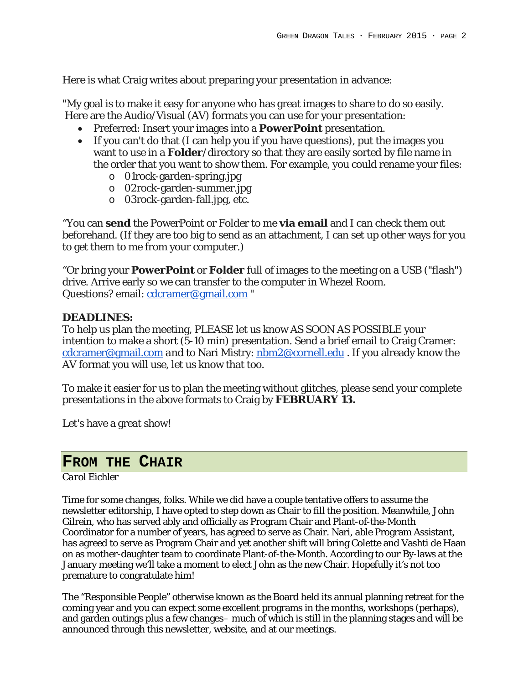Here is what Craig writes about preparing your presentation in advance:

"My goal is to make it easy for anyone who has great images to share to do so easily. Here are the Audio/Visual (AV) formats you can use for your presentation:

- Preferred: Insert your images into a **PowerPoint** presentation.
- If you can't do that (I can help you if you have questions), put the images you want to use in a **Folder**/directory so that they are easily sorted by file name in the order that you want to show them. For example, you could rename your files:
	- o 01rock-garden-spring.jpg
	- o 02rock-garden-summer.jpg
	- o 03rock-garden-fall.jpg, etc.

"You can **send** the PowerPoint or Folder to me **via email** and I can check them out beforehand. (If they are too big to send as an attachment, I can set up other ways for you to get them to me from your computer.)

"Or bring your **PowerPoint** or **Folder** full of images to the meeting on a USB ("flash") drive. Arrive early so we can transfer to the computer in Whezel Room. Questions? email: [cdcramer@gmail.com](mailto:cdcramer@gmail.com) "

#### **DEADLINES:**

To help us plan the meeting, PLEASE let us know *AS SOON AS POSSIBLE* your intention to make a short (5-10 min) presentation*.* Send a brief email to Craig Cramer: [cdcramer@gmail.com](http://cdcramer@gmail.com/) *and* to Nari Mistry: [nbm2@cornell.edu](http://nbm2@cornell.edu/) . If you already know the AV format you will use, let us know that too.

To make it easier for us to plan the meeting without glitches, please send your complete presentations in the above formats to Craig by **FEBRUARY 13.**

Let's have a great show!

## **FROM THE CHAIR**

#### *Carol Eichler*

Time for some changes, folks. While we did have a couple tentative offers to assume the newsletter editorship, I have opted to step down as Chair to fill the position. Meanwhile, John Gilrein, who has served ably and officially as Program Chair and Plant-of-the-Month Coordinator for a number of years, has agreed to serve as Chair. Nari, able Program Assistant, has agreed to serve as Program Chair and yet another shift will bring Colette and Vashti de Haan on as mother-daughter team to coordinate Plant-of-the-Month. According to our By-laws at the January meeting we'll take a moment to elect John as the new Chair. Hopefully it's not too premature to congratulate him!

The "Responsible People" otherwise known as the Board held its annual planning retreat for the coming year and you can expect some excellent programs in the months, workshops (perhaps), and garden outings plus a few changes– much of which is still in the planning stages and will be announced through this newsletter, website, and at our meetings.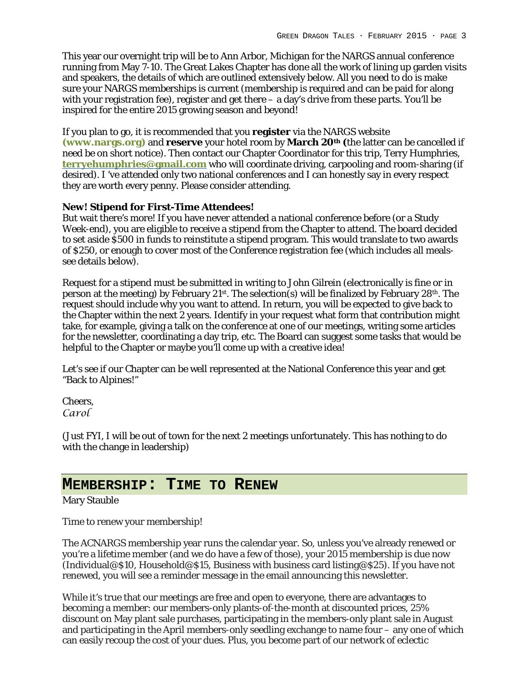This year our overnight trip will be to Ann Arbor, Michigan for the NARGS annual conference running from May 7-10. The Great Lakes Chapter has done all the work of lining up garden visits and speakers, the details of which are outlined extensively below. All you need to do is make sure your NARGS memberships is current (membership is required and can be paid for along with your registration fee), register and get there – a day's drive from these parts. You'll be inspired for the entire 2015 growing season and beyond!

If you plan to go, it is recommended that you **register** via the NARGS website **[\(www.nargs.org\)](http://www.nargs.org/)** and **reserve** your hotel room by **March 20th (**the latter can be cancelled if need be on short notice). Then contact our Chapter Coordinator for this trip, Terry Humphries, **[terryehumphries@gmail.com](mailto:terryehumphries@gmail.com)** who will coordinate driving, carpooling and room-sharing (if desired). I 've attended only two national conferences and I can honestly say in every respect they are worth every penny. Please consider attending.

#### **New! Stipend for First-Time Attendees!**

But wait there's more! If you have never attended a national conference before (or a Study Week-end), you are eligible to receive a stipend from the Chapter to attend. The board decided to set aside \$500 in funds to reinstitute a stipend program. This would translate to two awards of \$250, or enough to cover most of the Conference registration fee (which includes all mealssee details below).

Request for a stipend must be submitted in writing to John Gilrein (electronically is fine or in person at the meeting) by February  $21^{st}$ . The selection(s) will be finalized by February  $28^{th}$ . The request should include why you want to attend. In return, you will be expected to give back to the Chapter within the next 2 years. Identify in your request what form that contribution might take, for example, giving a talk on the conference at one of our meetings, writing some articles for the newsletter, coordinating a day trip, etc. The Board can suggest some tasks that would be helpful to the Chapter or maybe you'll come up with a creative idea!

Let's see if our Chapter can be well represented at the National Conference this year and get "Back to Alpines!"

Cheers, *Carol*

(Just FYI, I will be out of town for the next 2 meetings unfortunately. This has nothing to do with the change in leadership)

#### **MEMBERSHIP: TIME TO RENEW**

Mary Stauble

Time to renew your membership!

The ACNARGS membership year runs the calendar year. So, unless you've already renewed or you're a lifetime member (and we do have a few of those), your 2015 membership is due now (Individual@\$10, Household@\$15, Business with business card listing@\$25). If you have not renewed, you will see a reminder message in the email announcing this newsletter.

While it's true that our meetings are free and open to everyone, there are advantages to becoming a member: our members-only plants-of-the-month at discounted prices, 25% discount on May plant sale purchases, participating in the members-only plant sale in August and participating in the April members-only seedling exchange to name four – any one of which can easily recoup the cost of your dues. Plus, you become part of our network of eclectic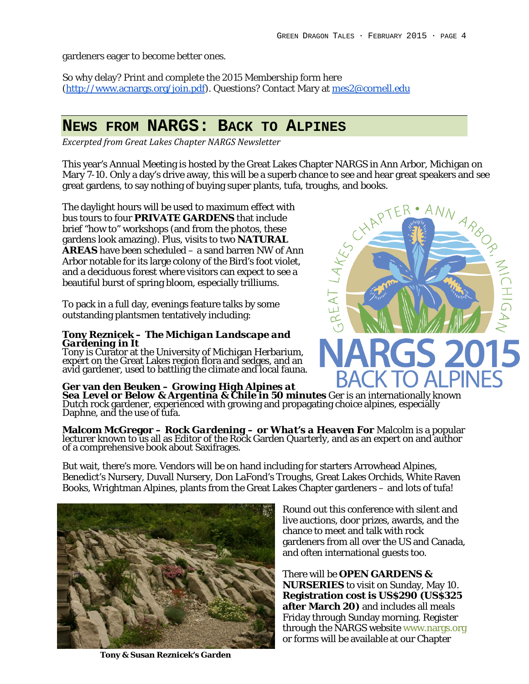gardeners eager to become better ones.

So why delay? Print and complete the 2015 Membership form here [\(http://www.acnargs.org/join.pdf\)](http://www.acnargs.org/join.pdf). Questions? Contact Mary at [mes2@cornell.edu](mailto:mes2@cornell.edu)

# **NEWS FROM NARGS: BACK TO ALPINES**

*Excerpted from Great Lakes Chapter NARGS Newsletter*

This year's Annual Meeting is hosted by the Great Lakes Chapter NARGS in Ann Arbor, Michigan on Mary 7-10. Only a day's drive away, this will be a superb chance to see and hear great speakers and see great gardens, to say nothing of buying super plants, tufa, troughs, and books.

The daylight hours will be used to maximum effect with bus tours to four **PRIVATE GARDENS** that include brief "how to" workshops (and from the photos, these gardens look amazing). Plus, visits to two **NATURAL AREAS** have been scheduled – a sand barren NW of Ann Arbor notable for its large colony of the Bird's foot violet, and a deciduous forest where visitors can expect to see a beautiful burst of spring bloom, especially trilliums.

To pack in a full day, evenings feature talks by some outstanding plantsmen tentatively including:

# **Tony Reznicek –** *The Michigan Landscape and Gardening in It*

Tony is Curator at the University of Michigan Herbarium, expert on the Great Lakes region flora and sedges, and an avid gardener, used to battling the climate and local fauna.

Ger van den Beuken – *Growing High Alpines at*<br>Sea Level or Below & Argentina & Chile in 50 minutes Ger is an internationally known<br>Dutch rock gardener, experienced with growing and propagating choice alpines, especially<br>D

**Malcom McGregor – Rock Gardening – or What's a Heaven For** Malcolm is a popular lecturer known to us all as Editor of the Rock Garden Quarterly, and as an expert on and author of a comprehensive book about Saxifrages.

But wait, there's more. Vendors will be on hand including for starters Arrowhead Alpines, Benedict's Nursery, Duvall Nursery, Don LaFond's Troughs, Great Lakes Orchids, White Raven Books, Wrightman Alpines, plants from the Great Lakes Chapter gardeners – and lots of tufa!



There will be **OPEN GARDENS & NURSERIES** to visit on Sunday, May 10. **Registration cost is US\$290 (US\$325 after March 20)** and includes all meals Friday through Sunday morning. Register through the NARGS website [www.nargs.org](http://www.nargs.org/) or forms will be available at our Chapter

**Tony & Susan Reznicek's Garden**

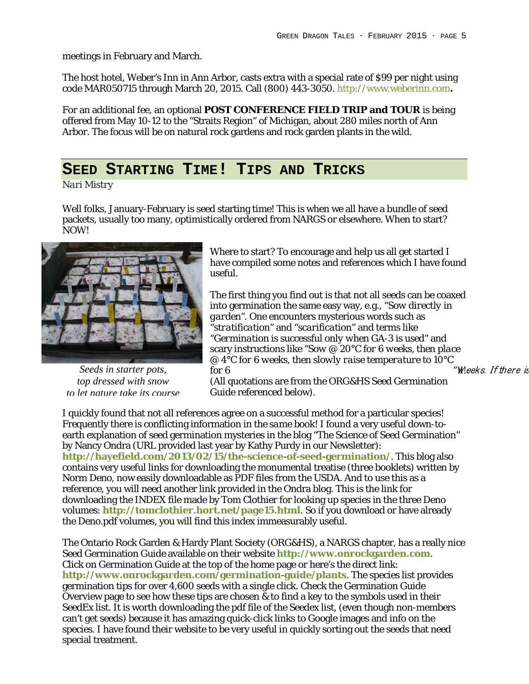meetings in February and March.

The host hotel, Weber's Inn in Ann Arbor, casts extra with a special rate of \$99 per night using code MAR050715 through March 20, 2015. Call (800) 443-3050. [http://www.weberinn.com](http://www.weberinn.com/)**.**

For an additional fee, an optional **POST CONFERENCE FIELD TRIP and TOUR** is being offered from May 10-12 to the "Straits Region" of Michigan, about 280 miles north of Ann Arbor. The focus will be on natural rock gardens and rock garden plants in the wild.

#### **SEED STARTING TIME! TIPS AND TRICKS**

*Nari Mistry*

Well folks, January-February is seed starting time! This is when we all have a bundle of seed packets, usually too many, optimistically ordered from NARGS or elsewhere. When to start? NOW!



*Seeds in starter pots, top dressed with snow to let nature take its course*

Where to start? To encourage and help us all get started I have compiled some notes and references which I have found useful.

The first thing you find out is that not all seeds can be coaxed into germination the same easy way, e.g., "*Sow directly in garden"*. One encounters mysterious words such as "*stratification*" and "*scarification*" and terms like "*Germination is successful only when GA-3 is used*" and scary instructions like "*Sow @ 20°C for 6 weeks, then place @ 4°C for 6 weeks, then slowly raise temperature to 10°C for 6 for 6 m for 6 m m m m m m m m m m m m m m m m m m m m m m m m m m m m m m m*

(All quotations are from the ORG&HS Seed Germination Guide referenced below).

I quickly found that not all references agree on a successful method for a particular species! Frequently there is conflicting information *in the same book*! I found a very useful down-toearth explanation of seed germination mysteries in the blog "The Science of Seed Germination" by Nancy Ondra (URL provided last year by Kathy Purdy in our Newsletter): **<http://hayefield.com/2013/02/15/the-science-of-seed-germination/>**. This blog also contains very useful links for downloading the monumental treatise (three booklets) written by Norm Deno, now easily downloadable as PDF files from the USDA. And to use this as a reference, you will need another link provided in the Ondra blog. This is the link for downloading the INDEX file made by Tom Clothier for looking up species in the three Deno volumes: **<http://tomclothier.hort.net/page15.html>**. So if you download or have already the Deno.pdf volumes, you will find this index immeasurably useful.

The Ontario Rock Garden & Hardy Plant Society (ORG&HS), a NARGS chapter, has a really nice Seed Germination Guide available on their website **[http://www.onrockgarden.com](http://www.onrockgarden.com/)**. Click on Germination Guide at the top of the home page or here's the direct link: **<http://www.onrockgarden.com/germination-guide/plants>**. The species list provides germination tips for over 4,600 seeds with a single click. Check the Germination Guide Overview page to see how these tips are chosen  $\&$  to find a key to the symbols used in their SeedEx list. It is worth downloading the pdf file of the Seedex list, (even though non-members can't get seeds) because it has amazing quick-click links to Google images and info on the species. I have found their website to be very useful in quickly sorting out the seeds that need special treatment.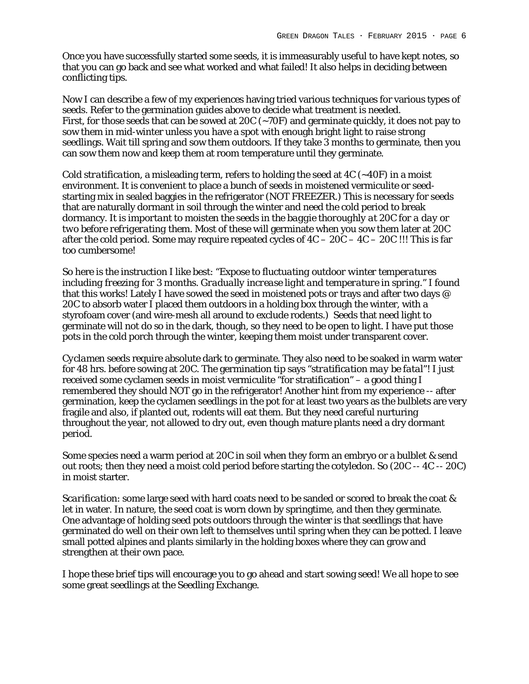Once you have successfully started some seeds, it is immeasurably useful to have kept notes, so that you can go back and see what worked and what failed! It also helps in deciding between conflicting tips.

Now I can describe a few of my experiences having tried various techniques for various types of seeds. Refer to the germination guides above to decide what treatment is needed. First, for those seeds that can be sowed at 20C  $(-70F)$  and germinate quickly, it does not pay to sow them in mid-winter unless you have a spot with enough bright light to raise strong seedlings. Wait till spring and sow them outdoors. If they take 3 months to germinate, then you can sow them now and keep them at room temperature until they germinate.

*Cold stratification,* a misleading term, refers to holding the seed at 4C (~40F) in a moist environment. It is convenient to place a bunch of seeds in moistened vermiculite or seedstarting mix in sealed baggies in the refrigerator (NOT FREEZER.) This is necessary for seeds that are naturally dormant in soil through the winter and need the cold period to break dormancy. *It is important to moisten the seeds in the baggie thoroughly at 20C for a day or two before refrigerating them.* Most of these will germinate when you sow them later at 20C after the cold period. Some may require repeated cycles of  $4C - 20C - 4C - 20C$ !!! This is far too cumbersome!

So here is the instruction I like best: "*Expose to fluctuating outdoor winter temperatures including freezing for 3 months. Gradually increase light and temperature in spring.*" I found that this works! Lately I have sowed the seed in moistened pots or trays and after two days @ 20C to absorb water I placed them outdoors in a holding box through the winter, with a styrofoam cover (and wire-mesh all around to exclude rodents.) Seeds that need light to germinate will not do so in the dark, though, so they need to be open to light. I have put those pots in the cold porch through the winter, keeping them moist under transparent cover.

*Cyclamen* seeds require absolute dark to germinate. They also need to be soaked in warm water for 48 hrs. before sowing at 20C. The germination tip says "*stratification may be fatal*"! I just received some cyclamen seeds in moist vermiculite "for stratification" – a good thing I remembered they should NOT go in the refrigerator! Another hint from my experience -- after germination, keep the cyclamen seedlings in the pot for at least two years as the bulblets are very fragile and also, if planted out, rodents will eat them. But they need careful nurturing throughout the year, not allowed to dry out, even though mature plants need a dry dormant period.

Some species need a warm period at 20C in soil when they form an embryo or a bulblet & send out roots; then they need a moist cold period before starting the cotyledon. So (20C -- 4C -- 20C) in moist starter.

*Scarification*: some large seed with hard coats need to be sanded or scored to break the coat & let in water. In nature, the seed coat is worn down by springtime, and then they germinate. One advantage of holding seed pots outdoors through the winter is that seedlings that have germinated do well on their own left to themselves until spring when they can be potted. I leave small potted alpines and plants similarly in the holding boxes where they can grow and strengthen at their own pace.

I hope these brief tips will encourage you to go ahead and start sowing seed! We all hope to see some great seedlings at the Seedling Exchange.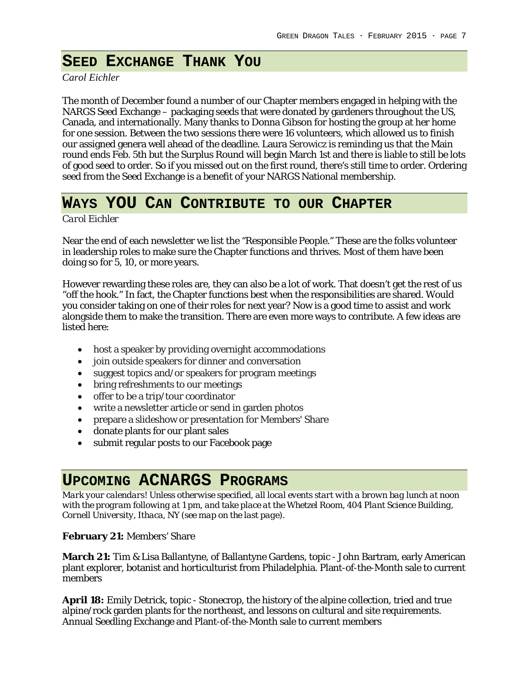# **SEED EXCHANGE THANK YOU**

*Carol Eichler*

The month of December found a number of our Chapter members engaged in helping with the NARGS Seed Exchange – packaging seeds that were donated by gardeners throughout the US, Canada, and internationally. Many thanks to Donna Gibson for hosting the group at her home for one session. Between the two sessions there were 16 volunteers, which allowed us to finish our assigned genera well ahead of the deadline. Laura Serowicz is reminding us that the Main round ends Feb. 5th but the Surplus Round will begin March 1st and there is liable to still be lots of good seed to order. So if you missed out on the first round, there's still time to order. Ordering seed from the Seed Exchange is a benefit of your NARGS National membership.

# **WAYS YOU CAN CONTRIBUTE TO OUR CHAPTER**

*Carol Eichler*

Near the end of each newsletter we list the "Responsible People." These are the folks volunteer in leadership roles to make sure the Chapter functions and thrives. Most of them have been doing so for 5, 10, or more years.

However rewarding these roles are, they can also be a lot of work. That doesn't get the rest of us "off the hook." In fact, the Chapter functions best when the responsibilities are shared. Would you consider taking on one of their roles for next year? Now is a good time to assist and work alongside them to make the transition. There are even more ways to contribute. A few ideas are listed here:

- host a speaker by providing overnight accommodations
- join outside speakers for dinner and conversation
- suggest topics and/or speakers for program meetings
- bring refreshments to our meetings
- offer to be a trip/tour coordinator
- write a newsletter article or send in garden photos
- prepare a slideshow or presentation for Members' Share
- donate plants for our plant sales
- submit regular posts to our Facebook page

# **UPCOMING ACNARGS PROGRAMS**

*Mark your calendars! Unless otherwise specified, all local events start with a brown bag lunch at noon with the program following at 1 pm, and take place at the Whetzel Room, 404 Plant Science Building, Cornell University, Ithaca, NY (see map on the last page).*

#### **February 21:** Members' Share

**March 21:** Tim & Lisa Ballantyne, of Ballantyne Gardens, topic - John Bartram, early American plant explorer, botanist and horticulturist from Philadelphia. Plant-of-the-Month sale to current members

**April 18:** Emily Detrick, topic - Stonecrop, the history of the alpine collection, tried and true alpine/rock garden plants for the northeast, and lessons on cultural and site requirements. Annual Seedling Exchange and Plant-of-the-Month sale to current members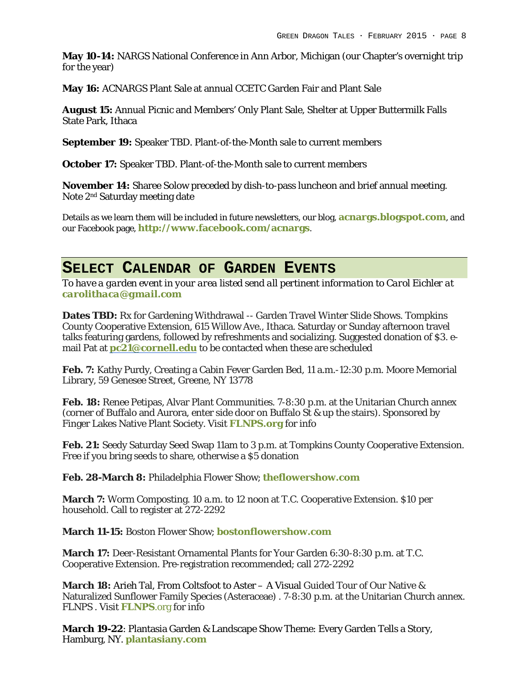**May 10-14:** NARGS National Conference in Ann Arbor, Michigan (our Chapter's overnight trip for the year)

**May 16:** ACNARGS Plant Sale at annual CCETC Garden Fair and Plant Sale

**August 15:** Annual Picnic and Members' Only Plant Sale, Shelter at Upper Buttermilk Falls State Park, Ithaca

**September 19:** Speaker TBD. Plant-of-the-Month sale to current members

**October 17:** Speaker TBD. Plant-of-the-Month sale to current members

**November 14:** Sharee Solow preceded by dish-to-pass luncheon and brief annual meeting. Note 2nd Saturday meeting date

Details as we learn them will be included in future newsletters, our blog, **[acnargs.blogspot.com](http://acnargs.blogspot.com/)**, and our Facebook page, **[http://www.facebook.com/acnargs](http://acnargs.blogspot.com/)**.

#### **SELECT CALENDAR OF GARDEN EVENTS**

*To have a garden event in your area listed send all pertinent information to Carol Eichler at [carolithaca@gmail.com](mailto:carolithaca@gmail.com)*

**Dates TBD:** Rx for Gardening Withdrawal -- Garden Travel Winter Slide Shows. Tompkins County Cooperative Extension, 615 Willow Ave., Ithaca. Saturday or Sunday afternoon travel talks featuring gardens, followed by refreshments and socializing. Suggested donation of \$3. email Pat at **[pc21@cornell.edu](mailto:pc21@cornell.edu)** to be contacted when these are scheduled

**Feb. 7:** Kathy Purdy, Creating a Cabin Fever Garden Bed, 11 a.m.-12:30 p.m. Moore Memorial Library, 59 Genesee Street, Greene, NY 13778

**Feb. 18:** Renee Petipas, Alvar Plant Communities. 7-8:30 p.m. at the Unitarian Church annex (corner of Buffalo and Aurora, enter side door on Buffalo St & up the stairs). Sponsored by Finger Lakes Native Plant Society. Visit **[FLNPS.](http://www.flnps.org/)org** for info

**Feb. 21:** Seedy Saturday Seed Swap 11am to 3 p.m. at Tompkins County Cooperative Extension. Free if you bring seeds to share, otherwise a \$5 donation

**Feb. 28-March 8:** Philadelphia Flower Show; **[theflowershow.com](http://www.theflowershow.com/)**

**March 7:** Worm Composting. 10 a.m. to 12 noon at T.C. Cooperative Extension. \$10 per household. Call to register at 272-2292

**March 11-15:** Boston Flower Show; **[bostonflowershow.com](http://www.bostonflowershow.com/)**

**March 17:** Deer-Resistant Ornamental Plants for Your Garden 6:30-8:30 p.m. at T.C. Cooperative Extension. Pre-registration recommended; call 272-2292

**March 18:** Arieh Tal, From Coltsfoot to Aster – A Visual Guided Tour of Our Native & Naturalized Sunflower Family Species (Asteraceae) . 7-8:30 p.m. at the Unitarian Church annex. FLNPS . Visit **[FLNPS](http://www.flnps.org/)**.org for info

**March 19-22**: Plantasia Garden & Landscape Show Theme: Every Garden Tells a Story, Hamburg, NY. **[plantasiany.com](http://plantasiany.com/)**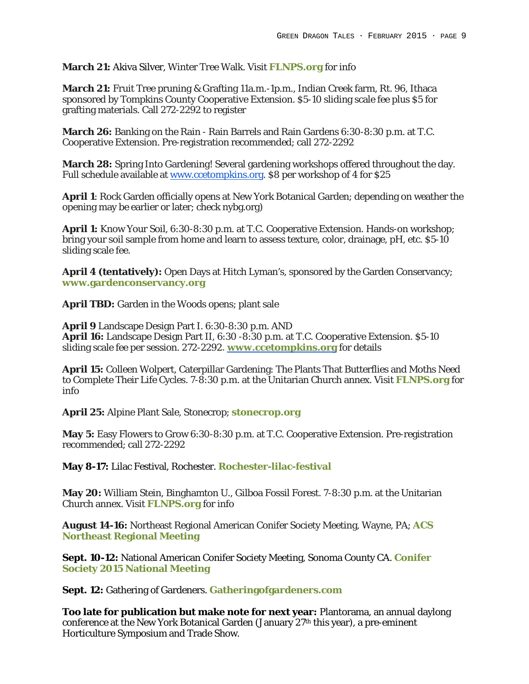#### **March 21:** Akiva Silver, Winter Tree Walk. Visit **[FLNPS.](http://www.flnps.org/)org** for info

**March 21:** Fruit Tree pruning & Grafting 11a.m.-1p.m., Indian Creek farm, Rt. 96, Ithaca sponsored by Tompkins County Cooperative Extension. \$5-10 sliding scale fee plus \$5 for grafting materials. Call 272-2292 to register

**March 26:** Banking on the Rain - Rain Barrels and Rain Gardens 6:30-8:30 p.m. at T.C. Cooperative Extension. Pre-registration recommended; call 272-2292

**March 28:** Spring Into Gardening! Several gardening workshops offered throughout the day. Full schedule available at [www.ccetompkins.org.](http://www.ccetompkins.org/) \$8 per workshop of 4 for \$25

**April 1**: Rock Garden officially opens at New York Botanical Garden; depending on weather the opening may be earlier or later; check nybg.org)

**April 1:** Know Your Soil, 6:30-8:30 p.m. at T.C. Cooperative Extension. Hands-on workshop; bring your soil sample from home and learn to assess texture, color, drainage, pH, etc. \$5-10 sliding scale fee.

**April 4 (tentatively):** Open Days at Hitch Lyman's, sponsored by the Garden Conservancy; **[www.gardenconservancy.org](https://www.gardenconservancy.org/)**

**April TBD:** Garden in the Woods opens; plant sale

**April 9** Landscape Design Part I. 6:30-8:30 p.m. AND **April 16:** Landscape Design Part II, 6:30 -8:30 p.m. at T.C. Cooperative Extension. \$5-10 sliding scale fee per session. 272-2292**. [www.ccetompkins.org](http://www.ccetompkins.org/)** for details

**April 15:** Colleen Wolpert, Caterpillar Gardening: The Plants That Butterflies and Moths Need to Complete Their Life Cycles. 7-8:30 p.m. at the Unitarian Church annex. Visit **[FLNPS.](http://www.flnps.org/)org** for info

**April 25:** Alpine Plant Sale, Stonecrop; **[stonecrop.org](http://www.stonecrop.org/)**

**May 5:** Easy Flowers to Grow 6:30-8:30 p.m. at T.C. Cooperative Extension. Pre-registration recommended; call 272-2292

**May 8-17:** Lilac Festival, Rochester. **Rochester-lilac-festival**

**May 20:** William Stein, Binghamton U., Gilboa Fossil Forest. 7-8:30 p.m. at the Unitarian Church annex. Visit **[FLNPS.](http://www.flnps.org/)org** for info

**August 14-16:** Northeast Regional American Conifer Society Meeting, Wayne, PA; **[ACS](http://northeast.conifersociety.org/events/event/northeast-regional-meeting-main-line-philadelphia-pa-aug-14-16-2015/)  [Northeast Regional Meeting](http://northeast.conifersociety.org/events/event/northeast-regional-meeting-main-line-philadelphia-pa-aug-14-16-2015/)**

**Sept. 10-12:** National American Conifer Society Meeting, Sonoma County CA. **[Conifer](http://conifersociety.org/events/event/2015-national-meeting-held-sonoma-county-ca-sept-10-13/)  [Society 2015 National Meeting](http://conifersociety.org/events/event/2015-national-meeting-held-sonoma-county-ca-sept-10-13/)**

**Sept. 12:** Gathering of Gardeners. **[Gatheringofgardeners.com](http://www.gatheringofgardeners.com/)**

**Too late for publication but make note for next year:** Plantorama, an annual daylong conference at the New York Botanical Garden (January  $27<sup>th</sup>$  this year), a pre-eminent Horticulture Symposium and Trade Show.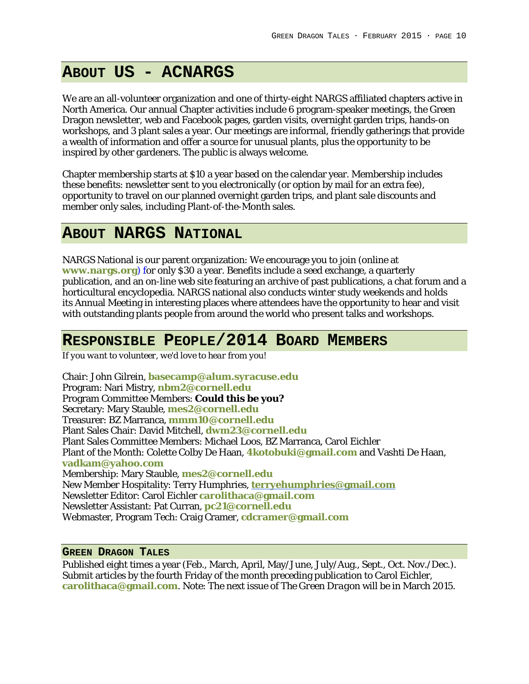# **ABOUT US - ACNARGS**

We are an all-volunteer organization and one of thirty-eight NARGS affiliated chapters active in North America. Our annual Chapter activities include 6 program-speaker meetings, the Green Dragon newsletter, web and Facebook pages, garden visits, overnight garden trips, hands-on workshops, and 3 plant sales a year. Our meetings are informal, friendly gatherings that provide a wealth of information and offer a source for unusual plants, plus the opportunity to be inspired by other gardeners. The public is always welcome.

Chapter membership starts at \$10 a year based on the calendar year. Membership includes these benefits: newsletter sent to you electronically (or option by mail for an extra fee), opportunity to travel on our planned overnight garden trips, and plant sale discounts and member only sales, including Plant-of-the-Month sales.

#### **ABOUT NARGS NATIONAL**

NARGS National is our parent organization: We encourage you to join (online at **[www.nargs.org](http://www.nargs.org/)**) for only \$30 a year. Benefits include a seed exchange, a quarterly publication, and an on-line web site featuring an archive of past publications, a chat forum and a horticultural encyclopedia. NARGS national also conducts winter study weekends and holds its Annual Meeting in interesting places where attendees have the opportunity to hear and visit with outstanding plants people from around the world who present talks and workshops.

## **RESPONSIBLE PEOPLE/2014 BOARD MEMBERS**

*If you want to volunteer, we'd love to hear from you!*

Chair: John Gilrein, **[basecamp@alum.syracuse.edu](mailto:basecamp@alum.syracuse.edu)** Program: Nari Mistry, **[nbm2@cornell.edu](mailto:nbm2@cornell.edu)** Program Committee Members: **Could this be you?** Secretary: Mary Stauble, **[mes2@cornell.edu](mailto:mes2@cornell.edu)** Treasurer: BZ Marranca, **[mmm10@cornell.edu](mailto:mmm10@cornell.edu)** Plant Sales Chair: David Mitchell, **[dwm23@cornell.edu](mailto:dwm23@cornell.edu)** Plant Sales Committee Members: Michael Loos, BZ Marranca, Carol Eichler Plant of the Month: Colette Colby De Haan, **[4kotobuki@gmail.com](mailto:4kotobuki@gmail.com)** and Vashti De Haan, **[vadkam@yahoo.com](mailto:vadkam@yahoo.com)** Membership: Mary Stauble, **[mes2@cornell.edu](mailto:mes2@cornell.edu)** New Member Hospitality: Terry Humphries, **[terryehumphries@gmail.com](mailto:terryehumphries@gmail.com)** Newsletter Editor: Carol Eichler **[carolithaca@gmail.com](mailto:carolithaca@gmail.com)** Newsletter Assistant: Pat Curran, **[pc21@cornell.edu](mailto:pc21@cornell.edu)** Webmaster, Program Tech: Craig Cramer, **[cdcramer@gmail.com](mailto:cdcramer@gmail.com)**

**GREEN DRAGON TALES**

Published eight times a year (Feb., March, April, May/June, July/Aug., Sept., Oct. Nov./Dec.). Submit articles by the fourth Friday of the month preceding publication to Carol Eichler, **[carolithaca@gmail.com](mailto:carolithaca@gmail.com)**. Note: The next issue of *The Green Dragon* will be in March 2015.